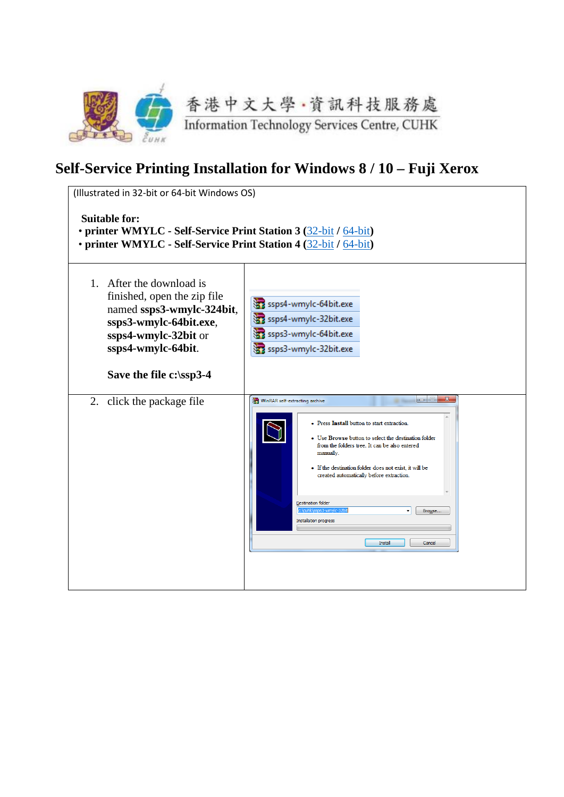

## **Self-Service Printing Installation for Windows 8 / 10 – Fuji Xerox**

| (Illustrated in 32-bit or 64-bit Windows OS)<br><b>Suitable for:</b><br>• printer WMYLC - Self-Service Print Station 3 (32-bit / 64-bit)<br>• printer WMYLC - Self-Service Print Station 4 (32-bit / 64-bit) |                                                                                                                                                                                                                                                                                                                                                                                                                                                  |
|--------------------------------------------------------------------------------------------------------------------------------------------------------------------------------------------------------------|--------------------------------------------------------------------------------------------------------------------------------------------------------------------------------------------------------------------------------------------------------------------------------------------------------------------------------------------------------------------------------------------------------------------------------------------------|
| 1. After the download is<br>finished, open the zip file<br>named ssps3-wmylc-324bit,<br>ssps3-wmylc-64bit.exe,<br>ssps4-wmylc-32bit or<br>ssps4-wmylc-64bit.<br>Save the file c:\ssp3-4                      | ssps4-wmylc-64bit.exe<br>ssps4-wmylc-32bit.exe<br>ssps3-wmylc-64bit.exe<br>ssps3-wmylc-32bit.exe                                                                                                                                                                                                                                                                                                                                                 |
| click the package file<br>2.                                                                                                                                                                                 | $\mathbf{x}$<br>WinRAR self-extracting archive<br>• Press Install button to start extraction.<br>• Use Browse button to select the destination folder<br>from the folders tree. It can be also entered<br>manually.<br>• If the destination folder does not exist, it will be<br>created automatically before extraction.<br><b>Destination folder</b><br>c:\cuhk\ssps3-wmylc-32b<br>Browse<br><b>Installation progress</b><br>Install<br>Cancel |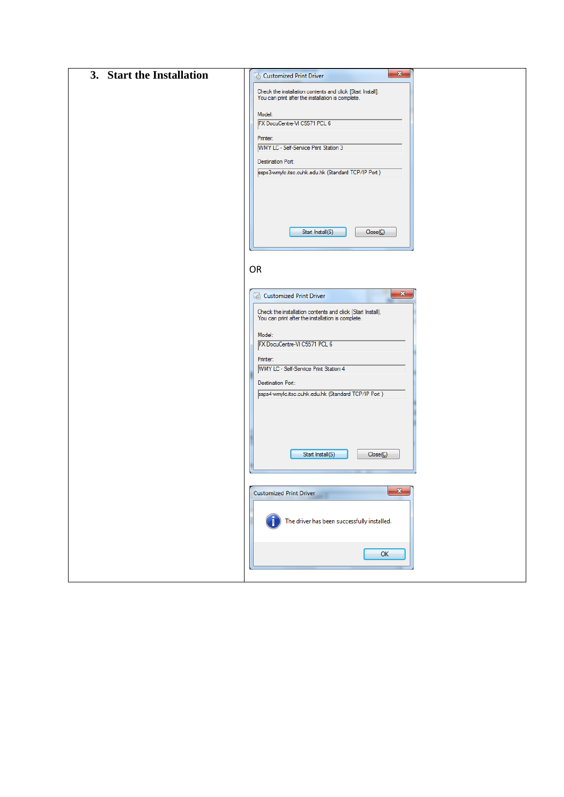| 3. Start the Installation | $\mathbf{x}$<br>Customized Print Driver                                                                         |  |
|---------------------------|-----------------------------------------------------------------------------------------------------------------|--|
|                           | Check the installation contents and click [Start Install].<br>You can print after the installation is complete. |  |
|                           |                                                                                                                 |  |
|                           | Model:<br>FX DocuCentre-VI C5571 PCL 6                                                                          |  |
|                           | Printer:                                                                                                        |  |
|                           | WMY LC - Self-Service Print Station 3                                                                           |  |
|                           | Destination Port:                                                                                               |  |
|                           | ssps3-wmylc.itsc.cuhk.edu.hk (Standard TCP/IP Port)                                                             |  |
|                           |                                                                                                                 |  |
|                           |                                                                                                                 |  |
|                           |                                                                                                                 |  |
|                           | Start Install(S)<br>Close( C )                                                                                  |  |
|                           |                                                                                                                 |  |
|                           |                                                                                                                 |  |
|                           | OR                                                                                                              |  |
|                           |                                                                                                                 |  |
|                           | $\mathbf{x}$<br>Customized Print Driver                                                                         |  |
|                           | Check the installation contents and click [Start Install].<br>You can print after the installation is complete. |  |
|                           |                                                                                                                 |  |
|                           | Model:<br>FX DocuCentre-VI C5571 PCL 6                                                                          |  |
|                           |                                                                                                                 |  |
|                           | Printer:<br>WMY LC - Self-Service Print Station 4                                                               |  |
|                           | Destination Port:                                                                                               |  |
|                           | ssps4-wmylc.itsc.cuhk.edu.hk (Standard TCP/IP Port)                                                             |  |
|                           |                                                                                                                 |  |
|                           |                                                                                                                 |  |
|                           |                                                                                                                 |  |
|                           |                                                                                                                 |  |
|                           | Start Install(S)<br>Close (C)                                                                                   |  |
|                           |                                                                                                                 |  |
|                           | $\mathbf{x}$<br><b>Customized Print Driver</b>                                                                  |  |
|                           |                                                                                                                 |  |
|                           | The driver has been successfully installed.                                                                     |  |
|                           |                                                                                                                 |  |
|                           |                                                                                                                 |  |
|                           | ОК                                                                                                              |  |
|                           |                                                                                                                 |  |
|                           |                                                                                                                 |  |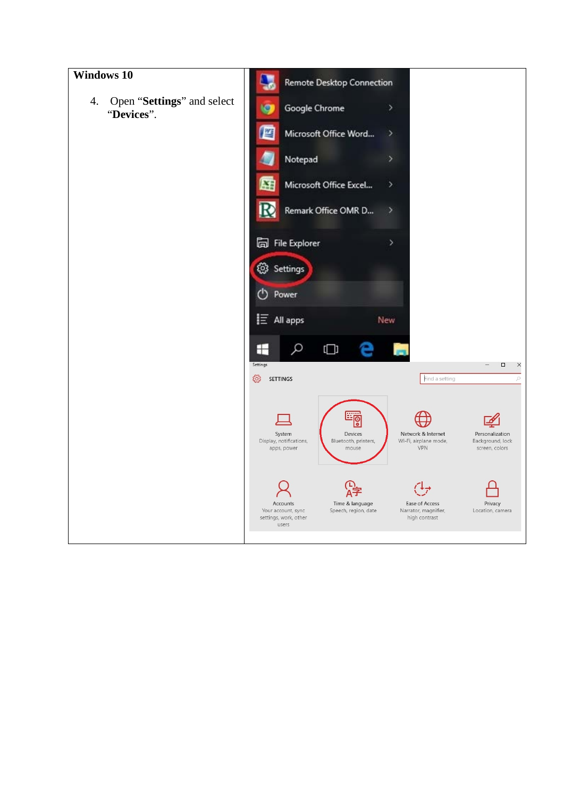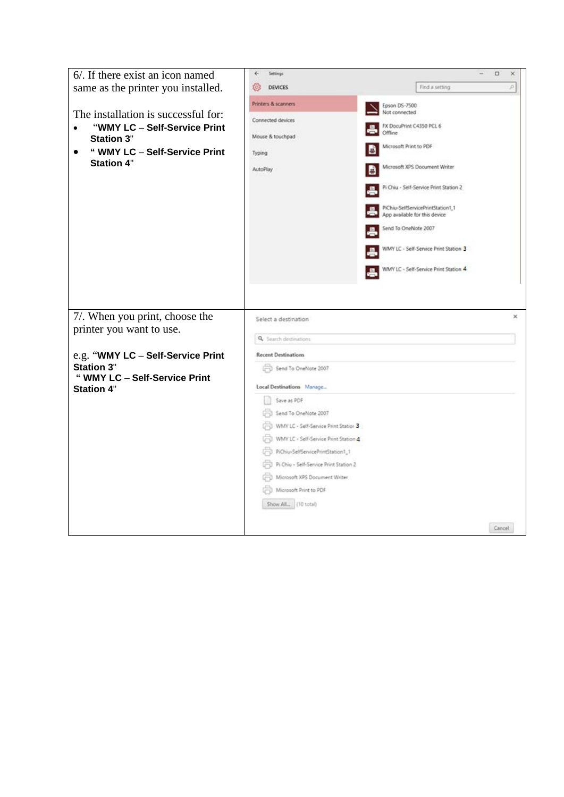| 6/. If there exist an icon named                                                                                                                                           | ē.<br>Settings                                                                                                                                                                                                   | $\Box$<br>×                                                                                                                                                                                                                                                                                                                                                     |
|----------------------------------------------------------------------------------------------------------------------------------------------------------------------------|------------------------------------------------------------------------------------------------------------------------------------------------------------------------------------------------------------------|-----------------------------------------------------------------------------------------------------------------------------------------------------------------------------------------------------------------------------------------------------------------------------------------------------------------------------------------------------------------|
| same as the printer you installed.                                                                                                                                         | <b>DEVICES</b><br>503                                                                                                                                                                                            | Find a setting<br>p.                                                                                                                                                                                                                                                                                                                                            |
| The installation is successful for:<br>"WMY LC - Self-Service Print<br><b>Station 3"</b><br>" WMY LC - Self-Service Print<br>$\bullet$<br><b>Station 4"</b>                | Printers & scanners<br>Connected devices<br>Mouse & touchpad<br>Typing<br>AutoPlay                                                                                                                               | Epson DS-7500<br>Not connected<br>FX DocuPrint C4350 PCL 6<br>Offline<br>Microsoft Print to PDF<br>Microsoft XPS Document Writer<br>ē<br>Pi Chiu - Self-Service Print Station 2<br>PiChiu-SelfServicePrintStation1_1<br>App available for this device<br>Send To OneNote 2007<br>WMY LC - Self-Service Print Station 3<br>WMY LC - Self-Service Print Station 4 |
| 7/. When you print, choose the<br>printer you want to use.<br>e.g. "WMY LC - Self-Service Print<br><b>Station 3"</b><br>" WMY LC - Self-Service Print<br><b>Station 4"</b> | Select a destination<br>Q Search destinations<br><b>Recent Destinations</b><br>Send To OneNote 2007<br>Local Destinations Manage<br>Save as PDF<br>Send To OneNote 2007<br>WMY LC - Self-Service Print Station 3 | ×                                                                                                                                                                                                                                                                                                                                                               |
|                                                                                                                                                                            | WMY LC - Self-Service Print Station 4<br>PiChiu-SelfServicePrintStation1_1<br>Pi Chiu - Self-Service Print Station 2<br>Microsoft XPS Document Writer<br>Microsoft Print to PDF<br>Show All., (10 total)         | Cancel                                                                                                                                                                                                                                                                                                                                                          |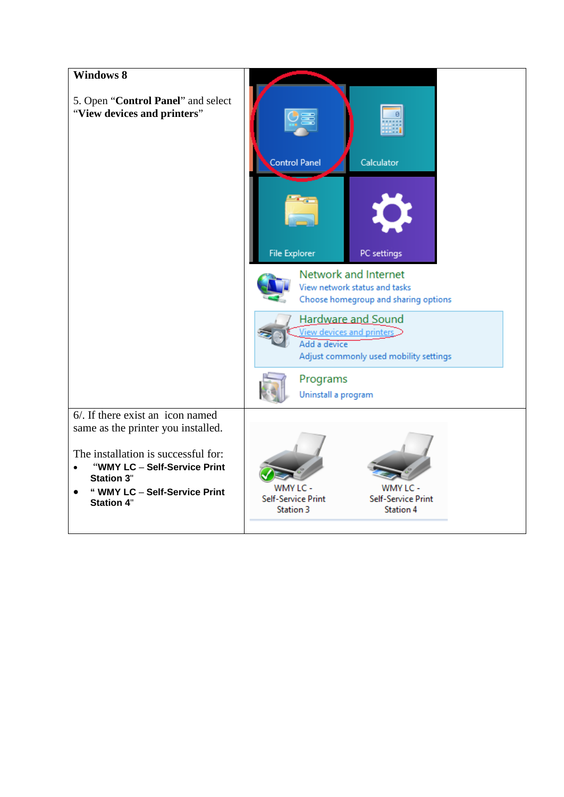